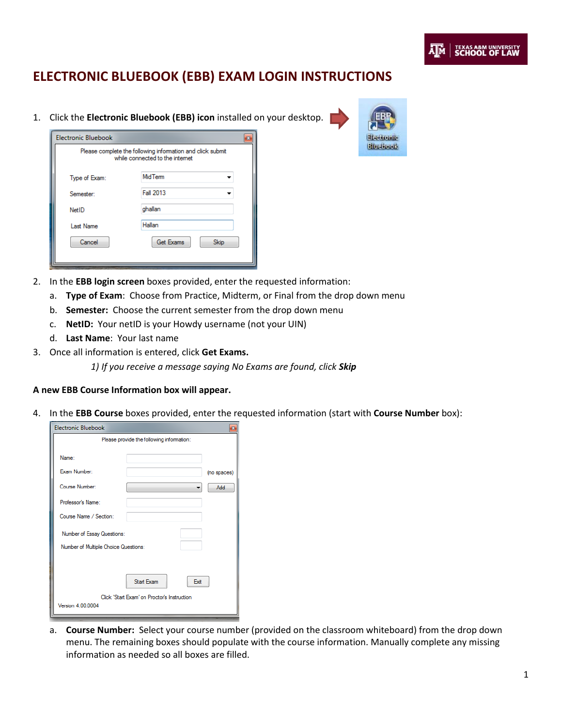## **ELECTRONIC BLUEBOOK (EBB) EXAM LOGIN INSTRUCTIONS**

1. Click the **Electronic Bluebook (EBB) icon** installed on your desktop.

| <b>Electronic Bluebook</b> |                                                                                               | × |
|----------------------------|-----------------------------------------------------------------------------------------------|---|
|                            | Please complete the following information and click submit<br>while connected to the internet |   |
| Type of Exam:              | MidTerm                                                                                       |   |
| Semester:                  | Fall 2013                                                                                     |   |
| <b>NetID</b>               | ghallan                                                                                       |   |
| <b>Last Name</b>           | Hallan                                                                                        |   |
| Cancel                     | <b>Get Exams</b><br>Skip                                                                      |   |

- 2. In the **EBB login screen** boxes provided, enter the requested information:
	- a. **Type of Exam**: Choose from Practice, Midterm, or Final from the drop down menu
	- b. **Semester:** Choose the current semester from the drop down menu
	- c. **NetID:** Your netID is your Howdy username (not your UIN)
	- d. **Last Name**: Your last name
- 3. Once all information is entered, click **Get Exams.**

*1) If you receive a message saying No Exams are found, click Skip*

## **A new EBB Course Information box will appear.**

4. In the **EBB Course** boxes provided, enter the requested information (start with **Course Number** box):

| <b>Electronic Bluebook</b>           | $\mathbf{z}$                                |
|--------------------------------------|---------------------------------------------|
|                                      | Please provide the following information:   |
| Name:                                |                                             |
| Exam Number:                         | (no spaces)                                 |
| Course Number:                       | <b>Add</b>                                  |
| Professor's Name:                    |                                             |
| Course Name / Section:               |                                             |
| Number of Essay Questions:           |                                             |
| Number of Multiple Choice Questions: |                                             |
|                                      |                                             |
|                                      | Start Exam<br>Exit                          |
|                                      | Click 'Start Exam' on Proctor's Instruction |
| Version 4.00.0004                    |                                             |

a. **Course Number:** Select your course number (provided on the classroom whiteboard) from the drop down menu. The remaining boxes should populate with the course information. Manually complete any missing information as needed so all boxes are filled.